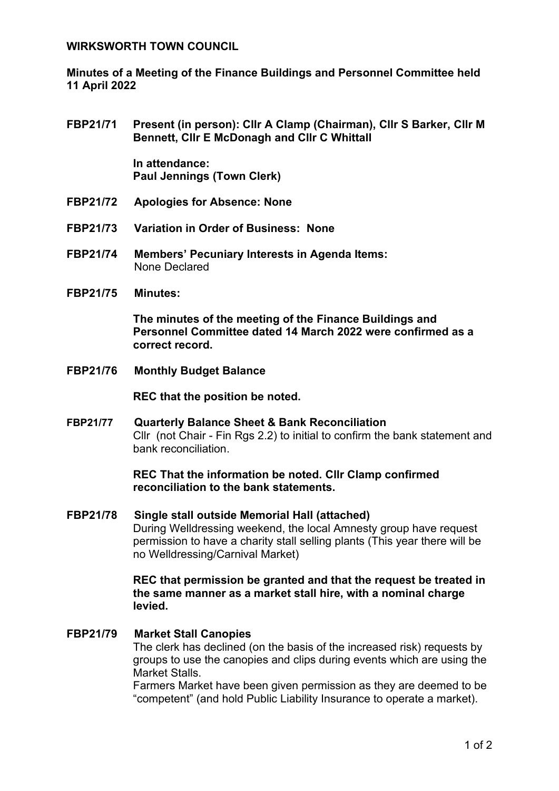#### **WIRKSWORTH TOWN COUNCIL**

**Minutes of a Meeting of the Finance Buildings and Personnel Committee held 11 April 2022**

**FBP21/71 Present (in person): Cllr A Clamp (Chairman), Cllr S Barker, Cllr M Bennett, Cllr E McDonagh and Cllr C Whittall**

> **In attendance: Paul Jennings (Town Clerk)**

- **FBP21/72 Apologies for Absence: None**
- **FBP21/73 Variation in Order of Business: None**
- **FBP21/74 Members' Pecuniary Interests in Agenda Items:**  None Declared
- **FBP21/75 Minutes:**

**The minutes of the meeting of the Finance Buildings and Personnel Committee dated 14 March 2022 were confirmed as a correct record.**

**FBP21/76 Monthly Budget Balance** 

**REC that the position be noted.**

**FBP21/77 Quarterly Balance Sheet & Bank Reconciliation**  Cllr (not Chair - Fin Rgs 2.2) to initial to confirm the bank statement and bank reconciliation.

## **REC That the information be noted. Cllr Clamp confirmed reconciliation to the bank statements.**

**FBP21/78 Single stall outside Memorial Hall (attached)** During Welldressing weekend, the local Amnesty group have request permission to have a charity stall selling plants (This year there will be no Welldressing/Carnival Market)

> **REC that permission be granted and that the request be treated in the same manner as a market stall hire, with a nominal charge levied.**

**FBP21/79 Market Stall Canopies** The clerk has declined (on the basis of the increased risk) requests by groups to use the canopies and clips during events which are using the Market Stalls.

Farmers Market have been given permission as they are deemed to be "competent" (and hold Public Liability Insurance to operate a market).